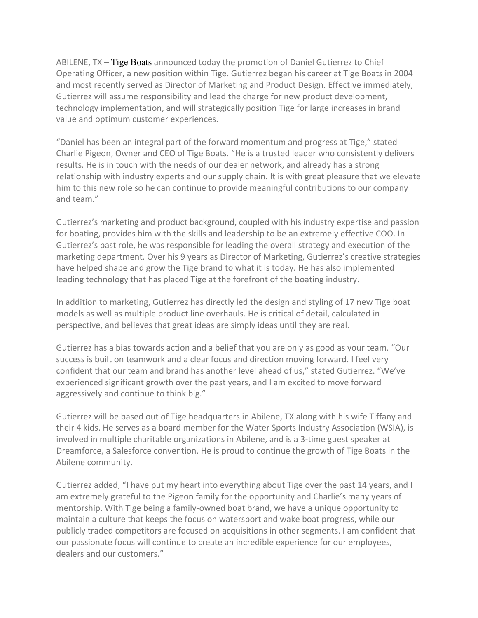ABILENE, TX – Tige Boats announced today the promotion of Daniel Gutierrez to Chief Operating Officer, a new position within Tige. Gutierrez began his career at Tige Boats in 2004 and most recently served as Director of Marketing and Product Design. Effective immediately, Gutierrez will assume responsibility and lead the charge for new product development, technology implementation, and will strategically position Tige for large increases in brand value and optimum customer experiences.

"Daniel has been an integral part of the forward momentum and progress at Tige," stated Charlie Pigeon, Owner and CEO of Tige Boats. "He is a trusted leader who consistently delivers results. He is in touch with the needs of our dealer network, and already has a strong relationship with industry experts and our supply chain. It is with great pleasure that we elevate him to this new role so he can continue to provide meaningful contributions to our company and team."

Gutierrez's marketing and product background, coupled with his industry expertise and passion for boating, provides him with the skills and leadership to be an extremely effective COO. In Gutierrez's past role, he was responsible for leading the overall strategy and execution of the marketing department. Over his 9 years as Director of Marketing, Gutierrez's creative strategies have helped shape and grow the Tige brand to what it is today. He has also implemented leading technology that has placed Tige at the forefront of the boating industry.

In addition to marketing, Gutierrez has directly led the design and styling of 17 new Tige boat models as well as multiple product line overhauls. He is critical of detail, calculated in perspective, and believes that great ideas are simply ideas until they are real.

Gutierrez has a bias towards action and a belief that you are only as good as your team. "Our success is built on teamwork and a clear focus and direction moving forward. I feel very confident that our team and brand has another level ahead of us," stated Gutierrez. "We've experienced significant growth over the past years, and I am excited to move forward aggressively and continue to think big."

Gutierrez will be based out of Tige headquarters in Abilene, TX along with his wife Tiffany and their 4 kids. He serves as a board member for the Water Sports Industry Association (WSIA), is involved in multiple charitable organizations in Abilene, and is a 3-time guest speaker at Dreamforce, a Salesforce convention. He is proud to continue the growth of Tige Boats in the Abilene community.

Gutierrez added, "I have put my heart into everything about Tige over the past 14 years, and I am extremely grateful to the Pigeon family for the opportunity and Charlie's many years of mentorship. With Tige being a family-owned boat brand, we have a unique opportunity to maintain a culture that keeps the focus on watersport and wake boat progress, while our publicly traded competitors are focused on acquisitions in other segments. I am confident that our passionate focus will continue to create an incredible experience for our employees, dealers and our customers."